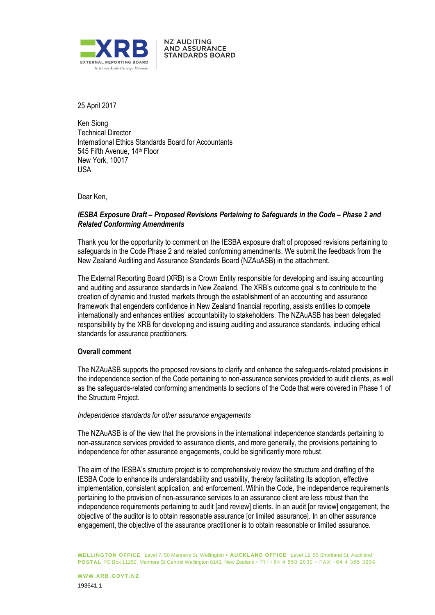

**NZ AUDITING** AND ASSURANCE **STANDARDS BOARD** 

25 April 2017

Ken Siong Technical Director International Ethics Standards Board for Accountants 545 Fifth Avenue, 14th Floor New York, 10017 USA

Dear Ken,

## *IESBA Exposure Draft – Proposed Revisions Pertaining to Safeguards in the Code – Phase 2 and Related Conforming Amendments*

Thank you for the opportunity to comment on the IESBA exposure draft of proposed revisions pertaining to safeguards in the Code Phase 2 and related conforming amendments. We submit the feedback from the New Zealand Auditing and Assurance Standards Board (NZAuASB) in the attachment.

The External Reporting Board (XRB) is a Crown Entity responsible for developing and issuing accounting and auditing and assurance standards in New Zealand. The XRB's outcome goal is to contribute to the creation of dynamic and trusted markets through the establishment of an accounting and assurance framework that engenders confidence in New Zealand financial reporting, assists entities to compete internationally and enhances entities' accountability to stakeholders. The NZAuASB has been delegated responsibility by the XRB for developing and issuing auditing and assurance standards, including ethical standards for assurance practitioners.

### **Overall comment**

The NZAuASB supports the proposed revisions to clarify and enhance the safeguards-related provisions in the independence section of the Code pertaining to non-assurance services provided to audit clients, as well as the safeguards-related conforming amendments to sections of the Code that were covered in Phase 1 of the Structure Project.

#### *Independence standards for other assurance engagements*

The NZAuASB is of the view that the provisions in the international independence standards pertaining to non-assurance services provided to assurance clients, and more generally, the provisions pertaining to independence for other assurance engagements, could be significantly more robust.

The aim of the IESBA's structure project is to comprehensively review the structure and drafting of the IESBA Code to enhance its understandability and usability, thereby facilitating its adoption, effective implementation, consistent application, and enforcement. Within the Code, the independence requirements pertaining to the provision of non-assurance services to an assurance client are less robust than the independence requirements pertaining to audit [and review] clients. In an audit [or review] engagement, the objective of the auditor is to obtain reasonable assurance [or limited assurance]. In an other assurance engagement, the objective of the assurance practitioner is to obtain reasonable or limited assurance.

**WELLINGTON OFFICE** Level 7, 50 Manners St, Wellington **• AUCKLAND OFFICE** Level 12, 55 Shortland St, Auckland **POSTAL** PO Box 11250, Manners St Central Wellington 6142, New Zealand • PH +64 4 550 2030 • FAX +64 4 385 3256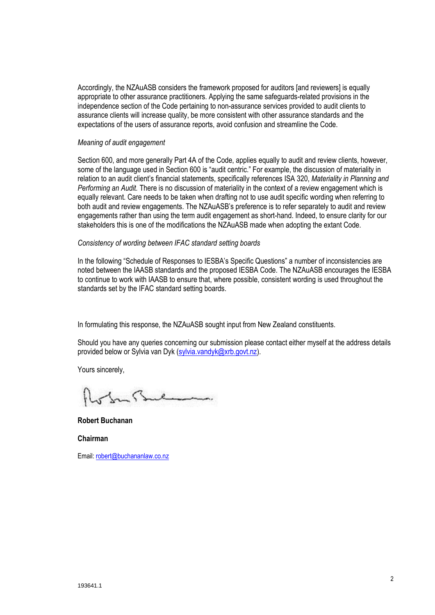Accordingly, the NZAuASB considers the framework proposed for auditors [and reviewers] is equally appropriate to other assurance practitioners. Applying the same safeguards-related provisions in the independence section of the Code pertaining to non-assurance services provided to audit clients to assurance clients will increase quality, be more consistent with other assurance standards and the expectations of the users of assurance reports, avoid confusion and streamline the Code.

#### *Meaning of audit engagement*

Section 600, and more generally Part 4A of the Code, applies equally to audit and review clients, however, some of the language used in Section 600 is "audit centric." For example, the discussion of materiality in relation to an audit client's financial statements, specifically references ISA 320, *Materiality in Planning and Performing an Audit.* There is no discussion of materiality in the context of a review engagement which is equally relevant. Care needs to be taken when drafting not to use audit specific wording when referring to both audit and review engagements. The NZAuASB's preference is to refer separately to audit and review engagements rather than using the term audit engagement as short-hand. Indeed, to ensure clarity for our stakeholders this is one of the modifications the NZAuASB made when adopting the extant Code.

### *Consistency of wording between IFAC standard setting boards*

In the following "Schedule of Responses to IESBA's Specific Questions" a number of inconsistencies are noted between the IAASB standards and the proposed IESBA Code. The NZAuASB encourages the IESBA to continue to work with IAASB to ensure that, where possible, consistent wording is used throughout the standards set by the IFAC standard setting boards.

In formulating this response, the NZAuASB sought input from New Zealand constituents.

Should you have any queries concerning our submission please contact either myself at the address details provided below or Sylvia van Dyk (sylvia.vandyk@xrb.govt.nz).

Yours sincerely,

**Robert Buchanan**

**Chairman**

Email: robert@buchananlaw.co.nz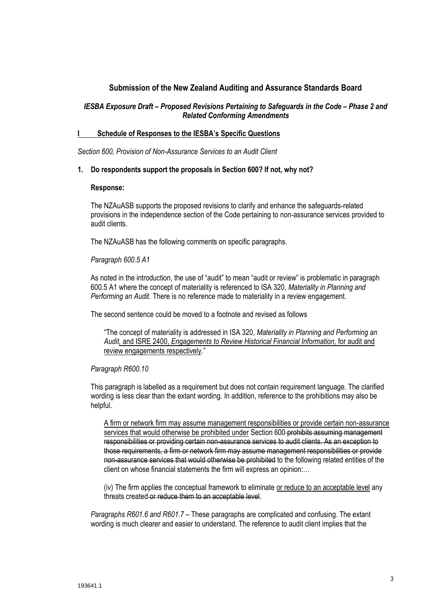# **Submission of the New Zealand Auditing and Assurance Standards Board**

## *IESBA Exposure Draft – Proposed Revisions Pertaining to Safeguards in the Code – Phase 2 and Related Conforming Amendments*

#### **I Schedule of Responses to the IESBA's Specific Questions**

*Section 600, Provision of Non-Assurance Services to an Audit Client* 

### **1. Do respondents support the proposals in Section 600? If not, why not?**

#### **Response:**

The NZAuASB supports the proposed revisions to clarify and enhance the safeguards-related provisions in the independence section of the Code pertaining to non-assurance services provided to audit clients.

The NZAuASB has the following comments on specific paragraphs.

*Paragraph 600.5 A1*

As noted in the introduction, the use of "audit" to mean "audit or review" is problematic in paragraph 600.5 A1 where the concept of materiality is referenced to ISA 320, *Materiality in Planning and Performing an Audit.* There is no reference made to materiality in a review engagement.

The second sentence could be moved to a footnote and revised as follows

"The concept of materiality is addressed in ISA 320, *Materiality in Planning and Performing an Audit,* and ISRE 2400, *Engagements to Review Historical Financial Information,* for audit and review engagements respectively."

### *Paragraph R600.10*

This paragraph is labelled as a requirement but does not contain requirement language. The clarified wording is less clear than the extant wording. In addition, reference to the prohibitions may also be helpful.

A firm or network firm may assume management responsibilities or provide certain non-assurance services that would otherwise be prohibited under Section 600-prohibits assuming management responsibilities or providing certain non-assurance services to audit clients. As an exception to those requirements, a firm or network firm may assume management responsibilities or provide non-assurance services that would otherwise be prohibited to the following related entities of the client on whose financial statements the firm will express an opinion:…

(iv) The firm applies the conceptual framework to eliminate or reduce to an acceptable level any threats created or reduce them to an acceptable level.

*Paragraphs R601.6 and R601.7 –* These paragraphs are complicated and confusing. The extant wording is much clearer and easier to understand. The reference to audit client implies that the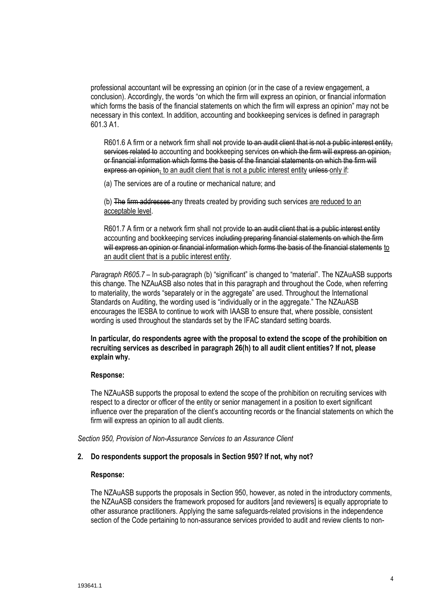professional accountant will be expressing an opinion (or in the case of a review engagement, a conclusion). Accordingly, the words "on which the firm will express an opinion, or financial information which forms the basis of the financial statements on which the firm will express an opinion" may not be necessary in this context. In addition, accounting and bookkeeping services is defined in paragraph 601.3 A1.

R601.6 A firm or a network firm shall not provide to an audit client that is not a public interest entity, services related to accounting and bookkeeping services on which the firm will express an opinion. or financial information which forms the basis of the financial statements on which the firm will express an opinion, to an audit client that is not a public interest entity unless only if:

(a) The services are of a routine or mechanical nature; and

(b) The firm addresses any threats created by providing such services are reduced to an acceptable level.

R601.7 A firm or a network firm shall not provide to an audit client that is a public interest entity accounting and bookkeeping services including preparing financial statements on which the firm will express an opinion or financial information which forms the basis of the financial statements to an audit client that is a public interest entity.

*Paragraph R605.7 –* In sub-paragraph (b) "significant" is changed to "material". The NZAuASB supports this change. The NZAuASB also notes that in this paragraph and throughout the Code, when referring to materiality, the words "separately or in the aggregate" are used. Throughout the International Standards on Auditing, the wording used is "individually or in the aggregate." The NZAuASB encourages the IESBA to continue to work with IAASB to ensure that, where possible, consistent wording is used throughout the standards set by the IFAC standard setting boards.

## **In particular, do respondents agree with the proposal to extend the scope of the prohibition on recruiting services as described in paragraph 26(h) to all audit client entities? If not, please explain why.**

### **Response:**

The NZAuASB supports the proposal to extend the scope of the prohibition on recruiting services with respect to a director or officer of the entity or senior management in a position to exert significant influence over the preparation of the client's accounting records or the financial statements on which the firm will express an opinion to all audit clients.

*Section 950, Provision of Non-Assurance Services to an Assurance Client*

### **2. Do respondents support the proposals in Section 950? If not, why not?**

### **Response:**

The NZAuASB supports the proposals in Section 950, however, as noted in the introductory comments, the NZAuASB considers the framework proposed for auditors [and reviewers] is equally appropriate to other assurance practitioners. Applying the same safeguards-related provisions in the independence section of the Code pertaining to non-assurance services provided to audit and review clients to non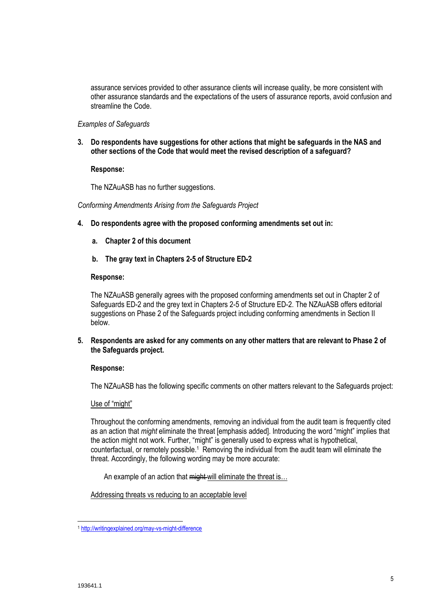assurance services provided to other assurance clients will increase quality, be more consistent with other assurance standards and the expectations of the users of assurance reports, avoid confusion and streamline the Code.

### *Examples of Safeguards*

**3. Do respondents have suggestions for other actions that might be safeguards in the NAS and other sections of the Code that would meet the revised description of a safeguard?**

## **Response:**

The NZAuASB has no further suggestions.

*Conforming Amendments Arising from the Safeguards Project*

- **4. Do respondents agree with the proposed conforming amendments set out in:** 
	- **a. Chapter 2 of this document**
	- **b. The gray text in Chapters 2-5 of Structure ED-2**

## **Response:**

The NZAuASB generally agrees with the proposed conforming amendments set out in Chapter 2 of Safeguards ED-2 and the grey text in Chapters 2-5 of Structure ED-2. The NZAuASB offers editorial suggestions on Phase 2 of the Safeguards project including conforming amendments in Section II below.

**5. Respondents are asked for any comments on any other matters that are relevant to Phase 2 of the Safeguards project.**

# **Response:**

The NZAuASB has the following specific comments on other matters relevant to the Safeguards project:

### Use of "might"

Throughout the conforming amendments, removing an individual from the audit team is frequently cited as an action that *might* eliminate the threat [emphasis added]. Introducing the word "might" implies that the action might not work. Further, "might" is generally used to express what is hypothetical, counterfactual, or remotely possible.<sup>1</sup> Removing the individual from the audit team will eliminate the threat. Accordingly, the following wording may be more accurate:

An example of an action that might will eliminate the threat is...

Addressing threats vs reducing to an acceptable level

l

<sup>1</sup> <http://writingexplained.org/may-vs-might-difference>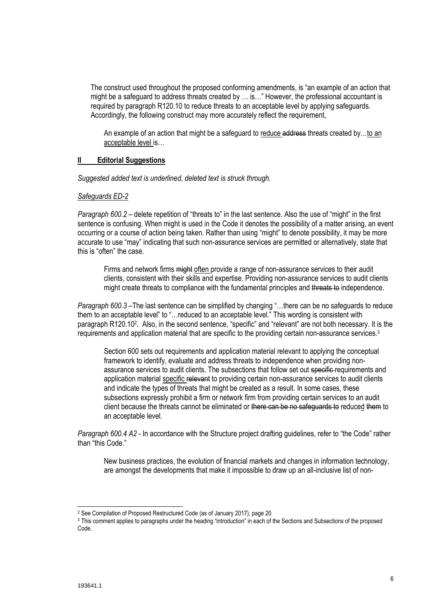The construct used throughout the proposed conforming amendments, is "an example of an action that might be a safeguard to address threats created by … is…" However, the professional accountant is required by paragraph R120.10 to reduce threats to an acceptable level by applying safeguards. Accordingly, the following construct may more accurately reflect the requirement,

An example of an action that might be a safeguard to reduce address threats created by...to an acceptable level is…

### **II Editorial Suggestions**

*Suggested added text is underlined, deleted text is struck through.* 

### *Safeguards ED-2*

*Paragraph 600.2 –* delete repetition of "threats to" in the last sentence. Also the use of "might" in the first sentence is confusing. When might is used in the Code it denotes the possibility of a matter arising, an event occurring or a course of action being taken. Rather than using "might" to denote possibility, it may be more accurate to use "may" indicating that such non-assurance services are permitted or alternatively, state that this is "often" the case.

Firms and network firms might often provide a range of non-assurance services to their audit clients, consistent with their skills and expertise. Providing non-assurance services to audit clients might create threats to compliance with the fundamental principles and threats to independence.

*Paragraph 600.3 –*The last sentence can be simplified by changing "…there can be no safeguards to reduce them to an acceptable level" to "…reduced to an acceptable level." This wording is consistent with paragraph R120.10<sup>2</sup>. Also, in the second sentence, "specific" and "relevant" are not both necessary. It is the requirements and application material that are specific to the providing certain non-assurance services.<sup>3</sup>

Section 600 sets out requirements and application material relevant to applying the conceptual framework to identify, evaluate and address threats to independence when providing nonassurance services to audit clients. The subsections that follow set out specific requirements and application material specific relevant to providing certain non-assurance services to audit clients and indicate the types of threats that might be created as a result. In some cases, these subsections expressly prohibit a firm or network firm from providing certain services to an audit client because the threats cannot be eliminated or there can be no safeguards to reduced them to an acceptable level.

*Paragraph 600.4 A2 -* In accordance with the Structure project drafting guidelines, refer to "the Code" rather than "this Code."

New business practices, the evolution of financial markets and changes in information technology, are amongst the developments that make it impossible to draw up an all-inclusive list of non-

l

<sup>2</sup> See Compilation of Proposed Restructured Code (as of January 2017), page 20

<sup>3</sup> This comment applies to paragraphs under the heading "introduction" in each of the Sections and Subsections of the proposed Code.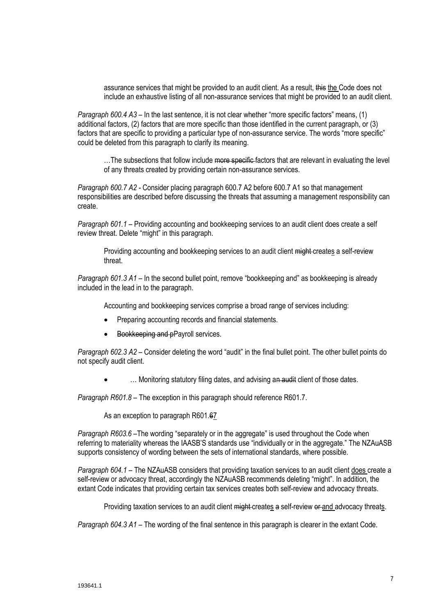assurance services that might be provided to an audit client. As a result, this the Code does not include an exhaustive listing of all non-assurance services that might be provided to an audit client.

*Paragraph 600.4 A3* – In the last sentence, it is not clear whether "more specific factors" means, (1) additional factors, (2) factors that are more specific than those identified in the current paragraph, or (3) factors that are specific to providing a particular type of non-assurance service. The words "more specific" could be deleted from this paragraph to clarify its meaning.

...The subsections that follow include more specific factors that are relevant in evaluating the level of any threats created by providing certain non-assurance services.

*Paragraph 600.7 A2 -* Consider placing paragraph 600.7 A2 before 600.7 A1 so that management responsibilities are described before discussing the threats that assuming a management responsibility can create.

*Paragraph 601.1 –* Providing accounting and bookkeeping services to an audit client does create a self review threat. Delete "might" in this paragraph.

Providing accounting and bookkeeping services to an audit client might-creates a self-review threat.

*Paragraph 601.3 A1 –* In the second bullet point, remove "bookkeeping and" as bookkeeping is already included in the lead in to the paragraph.

Accounting and bookkeeping services comprise a broad range of services including:

- Preparing accounting records and financial statements.
- Bookkeeping and pPayroll services.

*Paragraph 602.3 A2 –* Consider deleting the word "audit" in the final bullet point. The other bullet points do not specify audit client.

... Monitoring statutory filing dates, and advising an audit client of those dates.

*Paragraph R601.8 –* The exception in this paragraph should reference R601.7.

As an exception to paragraph R601.67

*Paragraph R603.6* –The wording "separately or in the aggregate" is used throughout the Code when referring to materiality whereas the IAASB'S standards use "individually or in the aggregate." The NZAuASB supports consistency of wording between the sets of international standards, where possible.

*Paragraph 604.1 –* The NZAuASB considers that providing taxation services to an audit client does create a self-review or advocacy threat, accordingly the NZAuASB recommends deleting "might". In addition, the extant Code indicates that providing certain tax services creates both self-review and advocacy threats.

Providing taxation services to an audit client might creates a self-review or and advocacy threats.

*Paragraph 604.3 A1 –* The wording of the final sentence in this paragraph is clearer in the extant Code.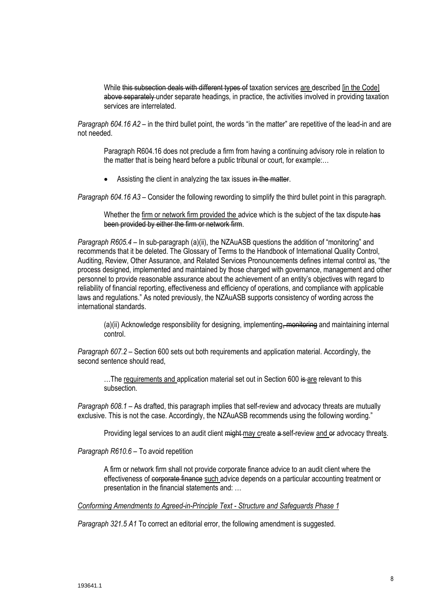While this subsection deals with different types of taxation services are described [in the Code] above separately under separate headings, in practice, the activities involved in providing taxation services are interrelated.

*Paragraph 604.16 A2* – in the third bullet point, the words "in the matter" are repetitive of the lead-in and are not needed.

Paragraph R604.16 does not preclude a firm from having a continuing advisory role in relation to the matter that is being heard before a public tribunal or court, for example:…

Assisting the client in analyzing the tax issues in the matter.

*Paragraph 604.16 A3* – Consider the following rewording to simplify the third bullet point in this paragraph.

Whether the firm or network firm provided the advice which is the subject of the tax dispute has been provided by either the firm or network firm.

*Paragraph R605.4* – In sub-paragraph (a)(ii), the NZAuASB questions the addition of "monitoring" and recommends that it be deleted. The Glossary of Terms to the Handbook of International Quality Control, Auditing, Review, Other Assurance, and Related Services Pronouncements defines internal control as, "the process designed, implemented and maintained by those charged with governance, management and other personnel to provide reasonable assurance about the achievement of an entity's objectives with regard to reliability of financial reporting, effectiveness and efficiency of operations, and compliance with applicable laws and regulations." As noted previously, the NZAuASB supports consistency of wording across the international standards.

(a)(ii) Acknowledge responsibility for designing, implementing, monitoring and maintaining internal control.

*Paragraph 607.2 –* Section 600 sets out both requirements and application material. Accordingly, the second sentence should read,

...The requirements and application material set out in Section 600 is are relevant to this subsection.

*Paragraph 608.1 –* As drafted, this paragraph implies that self-review and advocacy threats are mutually exclusive. This is not the case. Accordingly, the NZAuASB recommends using the following wording."

Providing legal services to an audit client might may create a self-review and or advocacy threats.

*Paragraph R610.6 –* To avoid repetition

A firm or network firm shall not provide corporate finance advice to an audit client where the effectiveness of corporate finance such advice depends on a particular accounting treatment or presentation in the financial statements and: …

*Conforming Amendments to Agreed-in-Principle Text - Structure and Safeguards Phase 1*

*Paragraph 321.5 A1* To correct an editorial error, the following amendment is suggested.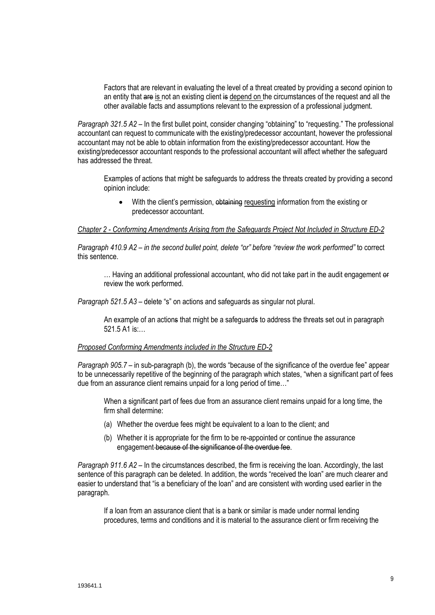Factors that are relevant in evaluating the level of a threat created by providing a second opinion to an entity that are is not an existing client is depend on the circumstances of the request and all the other available facts and assumptions relevant to the expression of a professional judgment.

*Paragraph 321.5 A2 –* In the first bullet point, consider changing "obtaining" to "requesting." The professional accountant can request to communicate with the existing/predecessor accountant, however the professional accountant may not be able to obtain information from the existing/predecessor accountant. How the existing/predecessor accountant responds to the professional accountant will affect whether the safeguard has addressed the threat.

Examples of actions that might be safeguards to address the threats created by providing a second opinion include:

• With the client's permission, obtaining requesting information from the existing or predecessor accountant.

*Chapter 2 - Conforming Amendments Arising from the Safeguards Project Not Included in Structure ED-2*

*Paragraph 410.9 A2 – in the second bullet point, delete "or" before "review the work performed"* to correct this sentence.

... Having an additional professional accountant, who did not take part in the audit engagement or review the work performed.

*Paragraph 521.5 A3 –* delete "s" on actions and safeguards as singular not plural.

An example of an actions that might be a safeguards to address the threats set out in paragraph 521.5 A1 is:…

#### *Proposed Conforming Amendments included in the Structure ED-2*

*Paragraph 905.7 –* in sub-paragraph (b), the words "because of the significance of the overdue fee" appear to be unnecessarily repetitive of the beginning of the paragraph which states, "when a significant part of fees due from an assurance client remains unpaid for a long period of time…"

When a significant part of fees due from an assurance client remains unpaid for a long time, the firm shall determine:

- (a) Whether the overdue fees might be equivalent to a loan to the client; and
- (b) Whether it is appropriate for the firm to be re-appointed or continue the assurance engagement because of the significance of the overdue fee.

*Paragraph 911.6 A2 –* In the circumstances described, the firm is receiving the loan. Accordingly, the last sentence of this paragraph can be deleted. In addition, the words "received the loan" are much clearer and easier to understand that "is a beneficiary of the loan" and are consistent with wording used earlier in the paragraph.

If a loan from an assurance client that is a bank or similar is made under normal lending procedures, terms and conditions and it is material to the assurance client or firm receiving the